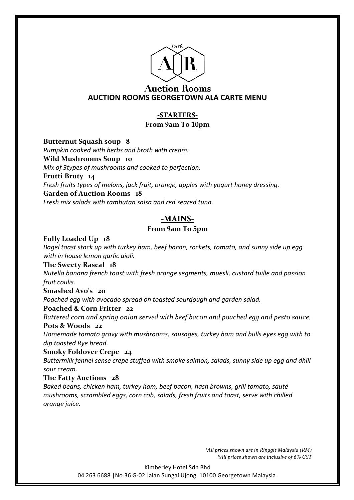

#### **Auction Rooms AUCTION ROOMS GEORGETOWN ALA CARTE MENU**

#### **-STARTERS-From 9am To 10pm**

**Butternut Squash soup 8**

*Pumpkin cooked with herbs and broth with cream.*

**Wild Mushrooms Soup 10**

*Mix of 3types of mushrooms and cooked to perfection.* 

**Frutti Bruty 14**

*Fresh fruits types of melons, jack fruit, orange, apples with yogurt honey dressing.* 

#### **Garden of Auction Rooms 18**

*Fresh mix salads with rambutan salsa and red seared tuna.*

#### **-MAINS-**

#### **From 9am To 5pm**

**Fully Loaded Up 18**

Bagel toast stack up with turkey ham, beef bacon, rockets, tomato, and sunny side up egg *with in house lemon garlic aioli.*

#### **The Sweety Rascal 18**

*Nutella banana french toast with fresh orange segments, muesli, custard tuille and passion fruit coulis.*

**Smashed Avo's 20**

Poached egg with avocado spread on toasted sourdough and garden salad.

#### **Poached & Corn Fritter 22**

*Battered corn and spring onion served with beef bacon and poached egg and pesto sauce.*

#### **Pots & Woods 22**

*Homemade tomato gravy with mushrooms, sausages, turkey ham and bulls eyes egg with to dip toasted Rye bread.*

**Smoky Foldover Crepe 24**

Buttermilk fennel sense crepe stuffed with smoke salmon, salads, sunny side up egg and dhill *sour cream.*

#### **The Fatty Auctions 28**

*Baked beans, chicken ham, turkey ham, beef bacon, hash browns, grill tomato, sauté mushrooms, scrambled eggs, corn cob, salads, fresh fruits and toast, serve with chilled orange juice.*

> *\*All prices shown are in Ringgit Malaysia (RM) \*All prices shown are inclusive of 6% GST*

Kimberley Hotel Sdn Bhd

04 263 6688 | No.36 G-02 Jalan Sungai Ujong. 10100 Georgetown Malaysia.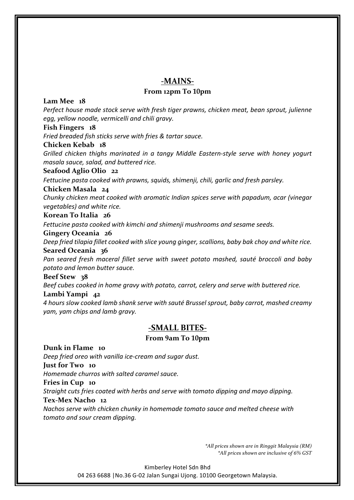#### **-MAINS-**

#### **From 12pm To 10pm**

#### **Lam Mee 18**

*Perfect house made stock serve with fresh tiger prawns, chicken meat, bean sprout, julienne* egg, yellow noodle, vermicelli and chili gravy.

#### **Fish Fingers 18**

*Fried breaded fish sticks serve with fries & tartar sauce.*

#### **Chicken Kebab 18**

*Grilled chicken thighs marinated in a tangy Middle Eastern-style serve with honey yogurt masala sauce, salad, and buttered rice.*

#### **Seafood Aglio Olio 22**

*Fettucine pasta cooked with prawns, squids, shimenji, chili, garlic and fresh parsley.* 

#### **Chicken Masala 24**

*Chunky chicken meat cooked with aromatic Indian spices serve with papadum, acar (vinegar vegetables) and white rice.*

#### **Korean To Italia 26**

Fettucine pasta cooked with kimchi and shimenii mushrooms and sesame seeds.

#### **Gingery Oceania 26**

Deep fried tilapia fillet cooked with slice young ginger, scallions, baby bak choy and white rice. **Seared Oceania 36**

*Pan seared fresh maceral fillet serve with sweet potato mashed, sauté broccoli and baby potato and lemon butter sauce.*

#### **Beef Stew 38**

Beef cubes cooked in home gravy with potato, carrot, celery and serve with buttered rice.

#### **Lambi Yampi 42**

*4 hours slow cooked lamb shank serve with sauté Brussel sprout, baby carrot, mashed creamy yam, yam chips and lamb gravy.*

#### **-SMALL BITES-**

#### **From 9am To 10pm**

**Dunk in Flame 10**

*Deep fried oreo with vanilla ice-cream and sugar dust.*

**Just for Two 10**

*Homemade churros with salted caramel sauce.*

**Fries in Cup 10**

*Straight cuts fries coated with herbs and serve with tomato dipping and mayo dipping.* 

#### **Tex-Mex Nacho 12**

*Nachos serve with chicken chunky in homemade tomato sauce and melted cheese with tomato and sour cream dipping.*

> *\*All prices shown are in Ringgit Malaysia (RM) \*All prices shown are inclusive of 6% GST*

Kimberley Hotel Sdn Bhd 04 263 6688 | No.36 G-02 Jalan Sungai Ujong. 10100 Georgetown Malaysia.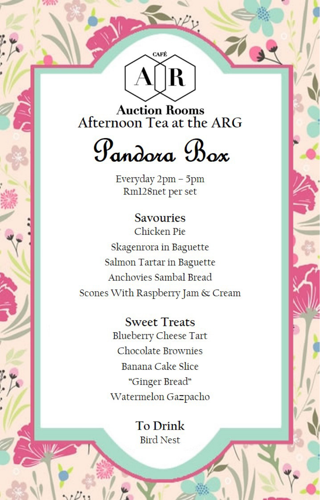

**Auction Rooms** Afternoon Tea at the ARG

# Pandora Box

Everyday 2pm - 5pm Rm128net per set

**Savouries** Chicken Pie Skagenrora in Baguette Salmon Tartar in Baguette Anchovies Sambal Bread Scones With Raspberry Jam & Cream

> **Sweet Treats Blueberry Cheese Tart** Chocolate Brownies Banana Cake Slice "Ginger Bread" Watermelon Gazpacho

> > **To Drink Bird Nest**